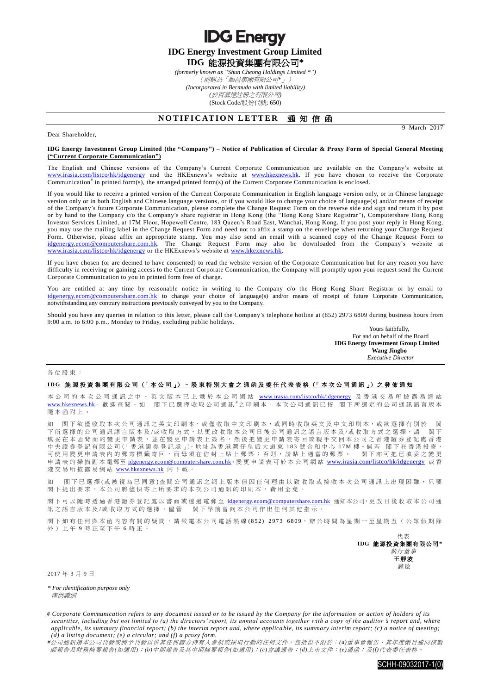**IDG Energy Investment Group Limited IDG** 能源投資集團有限公司**\***

**IDG Energy** 

*(formerly known as "Shun Cheong Holdings Limited \*")* (前稱為「順昌集團有限公司*\**」) *(Incorporated in Bermuda with limited liability) (*於百慕達註冊之有限公司*)* (Stock Code/股份代號: 650)

## **NOTIFICATION LETTER 通知信函**

9 March 2017

## **IDG Energy Investment Group Limited (the "Company") – Notice of Publication of Circular & Proxy Form of Special General Meeting ("Current Corporate Communication")**

The English and Chinese versions of the Company's Current Corporate Communication are available on the Company's website at [www.irasia.com/listco/hk/idgenergy](http://www.irasia.com/listco/hk/idgenergy) and the HKExnews's website at [www.hkexnews.hk.](http://www.hkexnews.hk/) If you have chosen to receive the Corporate Communication<sup>#</sup> in printed form(s), the arranged printed form(s) of the Current Corporate Communication is enclosed.

If you would like to receive a printed version of the Current Corporate Communication in English language version only, or in Chinese language version only or in both English and Chinese language versions, or if you would like to change your choice of language(s) and/or means of receipt of the Company's future Corporate Communication, please complete the Change Request Form on the reverse side and sign and return it by post or by hand to the Company c/o the Company's share registrar in Hong Kong (the "Hong Kong Share Registrar"), Computershare Hong Kong Investor Services Limited, at 17M Floor, Hopewell Centre, 183 Queen's Road East, Wanchai, Hong Kong. If you post your reply in Hong Kong, you may use the mailing label in the Change Request Form and need not to affix a stamp on the envelope when returning your Change Request Form. Otherwise, please affix an appropriate stamp. You may also send an email with a scanned copy of the Change Request Form to [idgenergy.ecom@computershare.com.hk.](mailto:idgenergy.ecom@computershare.com.hk) The Change Request Form may also be downloaded from the Company's website at [www.irasia.com/listco/hk/idgenergy](http://www.irasia.com/listco/hk/idgenergy) or the HKExnews's website at [www.hkexnews.hk.](http://www.hkexnews.hk/)

If you have chosen (or are deemed to have consented) to read the website version of the Corporate Communication but for any reason you have difficulty in receiving or gaining access to the Current Corporate Communication, the Company will promptly upon your request send the Current Corporate Communication to you in printed form free of charge.

You are entitled at any time by reasonable notice in writing to the Company c/o the Hong Kong Share Registrar or by email to [idgenergy.ecom@computershare.com.hk](mailto:idgenergy.ecom@computershare.com.hk) to change your choice of language(s) and/or means of receipt of future Corporate Communication, notwithstanding any contrary instructions previously conveyed by you to the Company.

Should you have any queries in relation to this letter, please call the Company's telephone hotline at (852) 2973 6809 during business hours from 9:00 a.m. to 6:00 p.m., Monday to Friday, excluding public holidays.

> Yours faithfully, For and on behalf of the Board **IDG Energy Investment Group Limited Wang Jingbo** *Executive Director*

各位股東 :

Dear Shareholder,

## IDG 能源投資集團有限公司 (「本公司」) - 股東特別大會之通函及委任代表表格 (「本次公司通訊」) 之發佈通知

本公司 的 本 次 公 司 通 訊 之 中 、 英 文 版 本 已 上 載 於 本 公 司 網 站 [www.irasia.com/listco/hk/idgenergy](http://www.irasia.com/listco/hk/idgenergy) 及 香 港 交 易 所 披 露 易 網 站 [www.hkexnews.hk](http://www.hkexnews.hk/), 歡 迎 查 閱 。 如 閣 下已 選 擇 收 取 公 司 通 訊 <sup>#</sup>之 印 刷 本 , 本 次 公 司 通 訊 已 按 閣 下 所 選 定 的 公 司 通 訊 語 言 版 本 隨本函附上 。

如 閣下欲僅收取本次公司通訊之英文印刷本、或僅收取中文印刷本,或同時收取英文及中文印刷本,或欲選擇有別於 閣 下所選擇的公司通訊語言版本及/或收取方式,以更改收取本公司日後公司通訊之語言版本及/或收取方式之選擇,請 閣下 填妥在本函背面的變更申請表,並在變更申請表上簽名,然後把變更申請表寄回或親手交回本公司之香港證券登記處香港 中央證券登記有限公司(「香港證券登記處」),地址為香港灣仔皇后大道東 183 號合和中心 17M 樓。倘若 閣下在香港投寄, 可使用變更申請表內的郵寄標籤寄回,而毋須在信封上貼上郵票;否則,請貼上適當的郵票。 閣下亦可把已填妥之變更 申請表的掃描副本電郵至 idgenergy.ecom@computershare.com.hk。變更申請表可於本公司網站 [www.irasia.com/listco/hk/idgenergy](http://www.irasia.com/listco/hk/idgenergy) 或香 港交易所披露易網站 [www.hkexnews.hk](http://www.hkexnews.hk/) 內 下載。

如 閣下已 選 擇 (或 被 視 為 已 同 意 ) 查 閱 公 司 通 訊 之 網 上 版 本 但 因 任 何 理 由 以 致 收 取 或 接 收 本 次 公 司 通 訊 上 出 現 困 難 ,只 要 閣下提出要求,本公司將儘快寄上所要求的本次公司通訊的印刷本,費用全免。

閣下可以隨時透過香港證券登記處以書面或透過電郵至 idgenergy.ecom@computershare.com.hk 通知本公司,更改日後收取本公司通 訊之語言版本及/或收取方式的選擇, 儘管 閣下早前曾向本公司作出任何其他指示。

閣下如有任何與本函內容有關的疑問,請致電本公司電話熱線(852) 2973 6809,辦公時間為星期一至星期五(公眾假期除 外)上午 9 時正至下午 6 時正。

代表 **IDG** 能源投資集團有限公司 **\*** 執行董事 王靜波 謹啟

2017 年 3 月 9 日

*\* For identification purpose only* 僅供識別

*# Corporate Communication refers to any document issued or to be issued by the Company for the information or action of holders of its securities, including but not limited to (a) the directors' report, its annual accounts together with a copy of the auditor 's report and, where applicable, its summary financial report; (b) the interim report and, where applica ble, its summary interim report; (c) a notice of meeting; (d) a listing document; (e) a circular; and (f) a proxy form.*

*#*公司通訊指本公司刊發或將予刊發以供其任何證券持有人參照或採取行動的任何文件,包括但不限於:*(a)*董事會報告、其年度帳目連同核數 師報告及財務摘要報告*(*如適用*)*;*(b)*中期報告及其中期摘要報告*(*如適用*)*;*(c)*會議通告;*(d)*上市文件;*(e)*通函;及*(f)*代表委任表格。